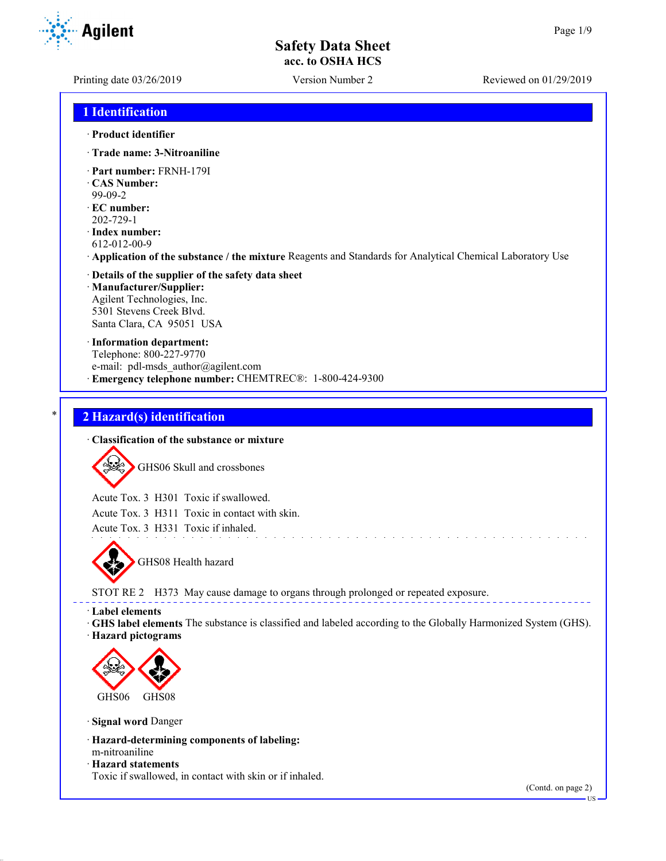Printing date 03/26/2019 Version Number 2 Reviewed on 01/29/2019

### **1 Identification**

#### · **Product identifier**

- · **Trade name: 3-Nitroaniline**
- · **Part number:** FRNH-179I
- · **CAS Number:** 99-09-2
- · **EC number:**
- 202-729-1
- · **Index number:** 612-012-00-9
- · **Application of the substance / the mixture** Reagents and Standards for Analytical Chemical Laboratory Use

#### · **Details of the supplier of the safety data sheet** · **Manufacturer/Supplier:** Agilent Technologies, Inc. 5301 Stevens Creek Blvd. Santa Clara, CA 95051 USA

· **Information department:** Telephone: 800-227-9770 e-mail: pdl-msds author@agilent.com · **Emergency telephone number:** CHEMTREC®: 1-800-424-9300

## \* **2 Hazard(s) identification**

#### · **Classification of the substance or mixture**



Acute Tox. 3 H301 Toxic if swallowed.

Acute Tox. 3 H311 Toxic in contact with skin.

Acute Tox. 3 H331 Toxic if inhaled.



STOT RE 2 H373 May cause damage to organs through prolonged or repeated exposure.

· **Label elements**

· **GHS label elements** The substance is classified and labeled according to the Globally Harmonized System (GHS).

and a straight and a straight and

· **Hazard pictograms**



· **Signal word** Danger

- · **Hazard-determining components of labeling:** m-nitroaniline
- · **Hazard statements**

Toxic if swallowed, in contact with skin or if inhaled.

(Contd. on page 2) US

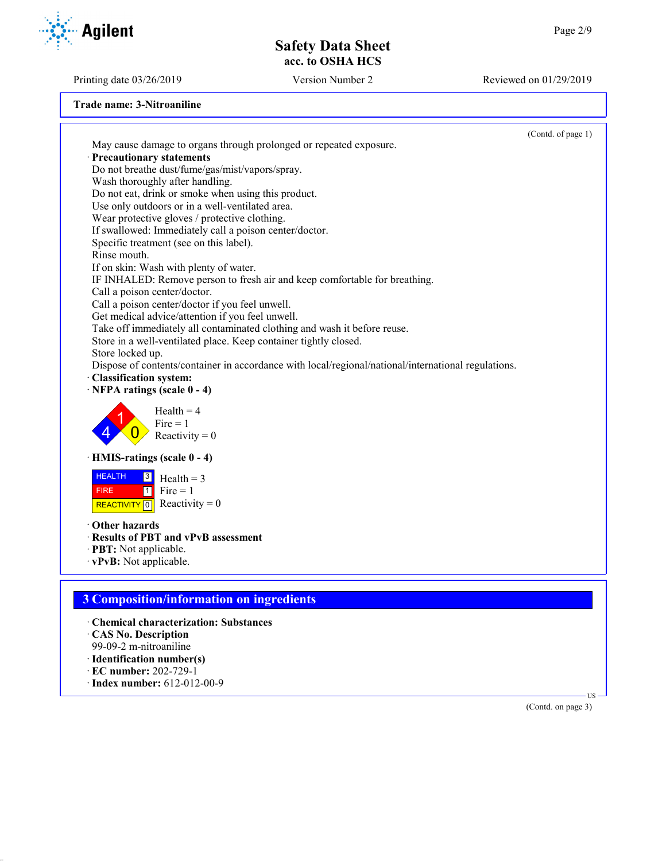Printing date 03/26/2019 Version Number 2 Reviewed on 01/29/2019

**Agilent** 

**Trade name: 3-Nitroaniline**

· **EC number:** 202-729-1 · **Index number:** 612-012-00-9

|                                                                                                     | (Contd. of page 1) |
|-----------------------------------------------------------------------------------------------------|--------------------|
| May cause damage to organs through prolonged or repeated exposure.                                  |                    |
| Precautionary statements                                                                            |                    |
| Do not breathe dust/fume/gas/mist/vapors/spray.                                                     |                    |
| Wash thoroughly after handling.                                                                     |                    |
| Do not eat, drink or smoke when using this product.                                                 |                    |
| Use only outdoors or in a well-ventilated area.                                                     |                    |
| Wear protective gloves / protective clothing.                                                       |                    |
| If swallowed: Immediately call a poison center/doctor.                                              |                    |
| Specific treatment (see on this label).                                                             |                    |
| Rinse mouth.                                                                                        |                    |
| If on skin: Wash with plenty of water.                                                              |                    |
| IF INHALED: Remove person to fresh air and keep comfortable for breathing.                          |                    |
| Call a poison center/doctor.                                                                        |                    |
| Call a poison center/doctor if you feel unwell.                                                     |                    |
| Get medical advice/attention if you feel unwell.                                                    |                    |
| Take off immediately all contaminated clothing and wash it before reuse.                            |                    |
| Store in a well-ventilated place. Keep container tightly closed.                                    |                    |
| Store locked up.                                                                                    |                    |
| Dispose of contents/container in accordance with local/regional/national/international regulations. |                    |
| · Classification system:                                                                            |                    |
| $\cdot$ NFPA ratings (scale 0 - 4)                                                                  |                    |
| $Health = 4$<br>$Fire = 1$                                                                          |                    |
| Reactivity = $0$                                                                                    |                    |
| · HMIS-ratings (scale 0 - 4)                                                                        |                    |
| <b>HEALTH</b><br>$\vert 3 \vert$<br>$Health = 3$                                                    |                    |
| Fire $= 1$<br>$\boxed{1}$<br><b>FIRE</b>                                                            |                    |
| REACTIVITY 0 Reactivity = 0                                                                         |                    |
|                                                                                                     |                    |
| Other hazards                                                                                       |                    |
| · Results of PBT and vPvB assessment                                                                |                    |
| · PBT: Not applicable.                                                                              |                    |
| · vPvB: Not applicable.                                                                             |                    |
|                                                                                                     |                    |
| <b>3 Composition/information on ingredients</b>                                                     |                    |
|                                                                                                     |                    |
| · Chemical characterization: Substances                                                             |                    |
| CAS No. Description                                                                                 |                    |
| 99-09-2 m-nitroaniline                                                                              |                    |
| · Identification number(s)                                                                          |                    |

(Contd. on page 3)

US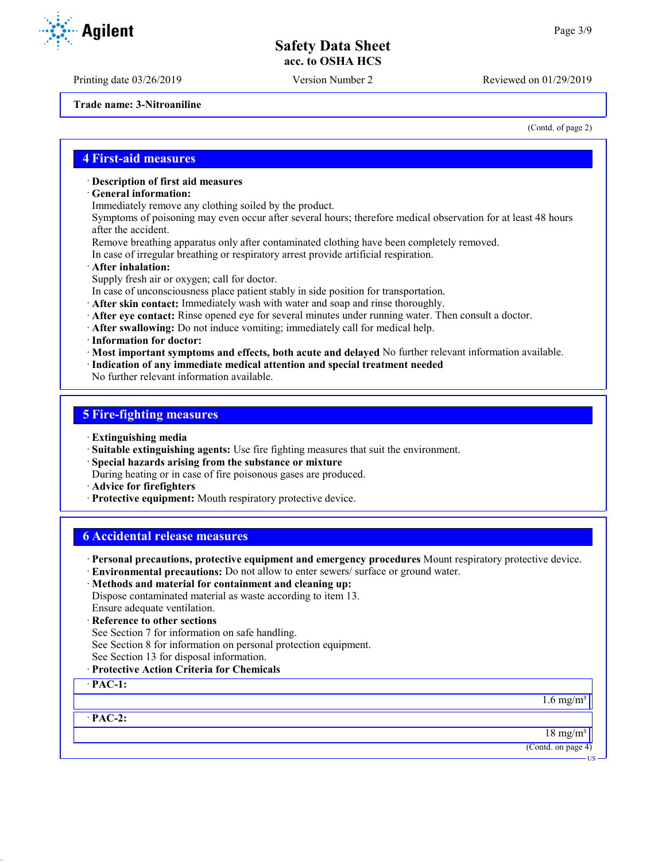Printing date 03/26/2019 Version Number 2 Reviewed on 01/29/2019

**Trade name: 3-Nitroaniline**

(Contd. of page 2)

#### **4 First-aid measures**

#### · **Description of first aid measures**

- · **General information:**
- Immediately remove any clothing soiled by the product.

Symptoms of poisoning may even occur after several hours; therefore medical observation for at least 48 hours after the accident.

- Remove breathing apparatus only after contaminated clothing have been completely removed.
- In case of irregular breathing or respiratory arrest provide artificial respiration.
- · **After inhalation:**
- Supply fresh air or oxygen; call for doctor.
- In case of unconsciousness place patient stably in side position for transportation.
- · **After skin contact:** Immediately wash with water and soap and rinse thoroughly.
- · **After eye contact:** Rinse opened eye for several minutes under running water. Then consult a doctor.
- · **After swallowing:** Do not induce vomiting; immediately call for medical help.
- · **Information for doctor:**
- · **Most important symptoms and effects, both acute and delayed** No further relevant information available.
- · **Indication of any immediate medical attention and special treatment needed**

No further relevant information available.

#### **5 Fire-fighting measures**

- · **Extinguishing media**
- · **Suitable extinguishing agents:** Use fire fighting measures that suit the environment.
- · **Special hazards arising from the substance or mixture**
- During heating or in case of fire poisonous gases are produced.
- · **Advice for firefighters**
- · **Protective equipment:** Mouth respiratory protective device.

#### **6 Accidental release measures**

- · **Personal precautions, protective equipment and emergency procedures** Mount respiratory protective device.
- · **Environmental precautions:** Do not allow to enter sewers/ surface or ground water.
- · **Methods and material for containment and cleaning up:**

Dispose contaminated material as waste according to item 13. Ensure adequate ventilation.

- · **Reference to other sections**
- See Section 7 for information on safe handling.
- See Section 8 for information on personal protection equipment.
- See Section 13 for disposal information.
- · **Protective Action Criteria for Chemicals**

· **PAC-1:**

1.6 mg/ $\overline{m^3}$ 

· **PAC-2:**

 $18 \text{ mg/m}^3$ (Contd. on page 4)

US

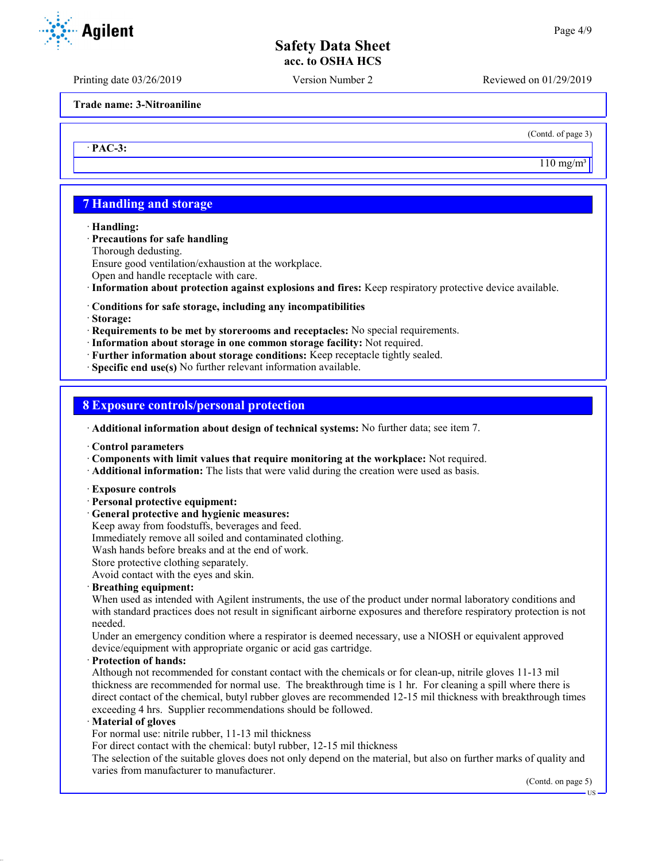Printing date 03/26/2019 Version Number 2 Reviewed on 01/29/2019

**Trade name: 3-Nitroaniline**

(Contd. of page 3)

 $110$  mg/m<sup>3</sup>

## **7 Handling and storage**

· **Handling:**

· **PAC-3:**

#### · **Precautions for safe handling**

Thorough dedusting.

Ensure good ventilation/exhaustion at the workplace.

Open and handle receptacle with care.

· **Information about protection against explosions and fires:** Keep respiratory protective device available.

#### · **Conditions for safe storage, including any incompatibilities**

· **Storage:**

· **Requirements to be met by storerooms and receptacles:** No special requirements.

- · **Information about storage in one common storage facility:** Not required.
- · **Further information about storage conditions:** Keep receptacle tightly sealed.
- · **Specific end use(s)** No further relevant information available.

#### **8 Exposure controls/personal protection**

· **Additional information about design of technical systems:** No further data; see item 7.

· **Control parameters**

- · **Components with limit values that require monitoring at the workplace:** Not required.
- · **Additional information:** The lists that were valid during the creation were used as basis.
- · **Exposure controls**
- · **Personal protective equipment:**
- · **General protective and hygienic measures:**

Keep away from foodstuffs, beverages and feed.

Immediately remove all soiled and contaminated clothing.

Wash hands before breaks and at the end of work.

Store protective clothing separately.

Avoid contact with the eyes and skin.

#### · **Breathing equipment:**

When used as intended with Agilent instruments, the use of the product under normal laboratory conditions and with standard practices does not result in significant airborne exposures and therefore respiratory protection is not needed.

Under an emergency condition where a respirator is deemed necessary, use a NIOSH or equivalent approved device/equipment with appropriate organic or acid gas cartridge.

#### · **Protection of hands:**

Although not recommended for constant contact with the chemicals or for clean-up, nitrile gloves 11-13 mil thickness are recommended for normal use. The breakthrough time is 1 hr. For cleaning a spill where there is direct contact of the chemical, butyl rubber gloves are recommended 12-15 mil thickness with breakthrough times exceeding 4 hrs. Supplier recommendations should be followed.

#### · **Material of gloves**

For normal use: nitrile rubber, 11-13 mil thickness

For direct contact with the chemical: butyl rubber, 12-15 mil thickness

The selection of the suitable gloves does not only depend on the material, but also on further marks of quality and varies from manufacturer to manufacturer.

(Contd. on page 5)

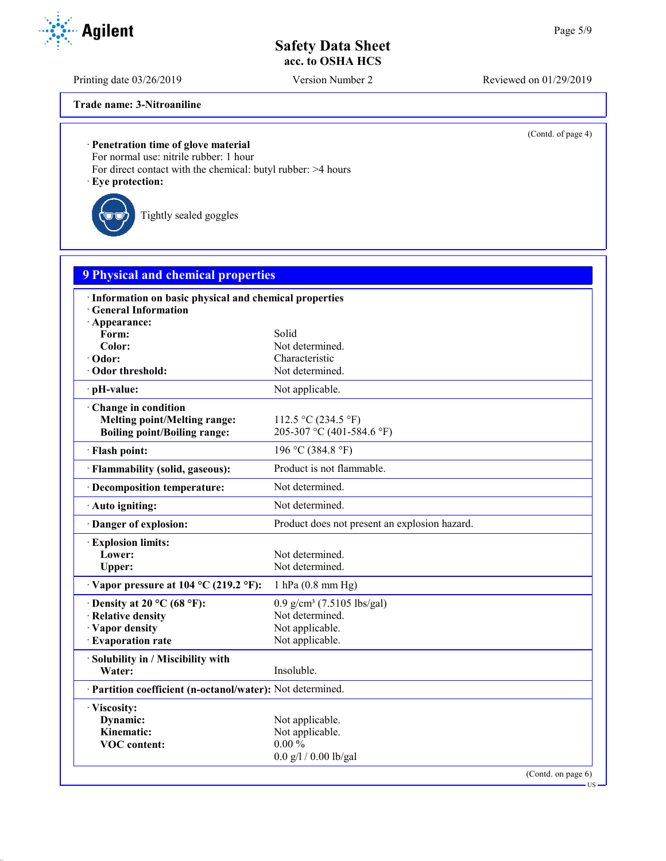Printing date 03/26/2019 Version Number 2 Reviewed on 01/29/2019

(Contd. of page 4)

**Trade name: 3-Nitroaniline**

## · **Penetration time of glove material**

For normal use: nitrile rubber: 1 hour

For direct contact with the chemical: butyl rubber: >4 hours · **Eye protection:**

Tightly sealed goggles

| <b>9 Physical and chemical properties</b>                  |                                               |                    |
|------------------------------------------------------------|-----------------------------------------------|--------------------|
| · Information on basic physical and chemical properties    |                                               |                    |
| <b>General Information</b>                                 |                                               |                    |
| · Appearance:                                              |                                               |                    |
| Form:<br>Color:                                            | Solid<br>Not determined.                      |                    |
| · Odor:                                                    | Characteristic                                |                    |
| Odor threshold:                                            | Not determined.                               |                    |
| · pH-value:                                                | Not applicable.                               |                    |
| Change in condition                                        |                                               |                    |
| <b>Melting point/Melting range:</b>                        | 112.5 °C (234.5 °F)                           |                    |
| <b>Boiling point/Boiling range:</b>                        | 205-307 °C (401-584.6 °F)                     |                    |
| · Flash point:                                             | 196 °C (384.8 °F)                             |                    |
| · Flammability (solid, gaseous):                           | Product is not flammable.                     |                    |
| · Decomposition temperature:                               | Not determined.                               |                    |
| · Auto igniting:                                           | Not determined.                               |                    |
| · Danger of explosion:                                     | Product does not present an explosion hazard. |                    |
| <b>Explosion limits:</b>                                   |                                               |                    |
| Lower:                                                     | Not determined.                               |                    |
| Upper:                                                     | Not determined.                               |                    |
| $\cdot$ Vapor pressure at 104 °C (219.2 °F):               | 1 hPa (0.8 mm Hg)                             |                    |
| $\cdot$ Density at 20 °C (68 °F):                          | $0.9$ g/cm <sup>3</sup> (7.5105 lbs/gal)      |                    |
| · Relative density                                         | Not determined.                               |                    |
| · Vapor density                                            | Not applicable.                               |                    |
| · Evaporation rate                                         | Not applicable.                               |                    |
| · Solubility in / Miscibility with                         |                                               |                    |
| Water:                                                     | Insoluble.                                    |                    |
| · Partition coefficient (n-octanol/water): Not determined. |                                               |                    |
| · Viscosity:                                               |                                               |                    |
| Dynamic:                                                   | Not applicable.                               |                    |
| Kinematic:                                                 | Not applicable.                               |                    |
| <b>VOC</b> content:                                        | $0.00 \%$                                     |                    |
|                                                            | $0.0$ g/l / $0.00$ lb/gal                     |                    |
|                                                            |                                               | (Contd. on page 6) |

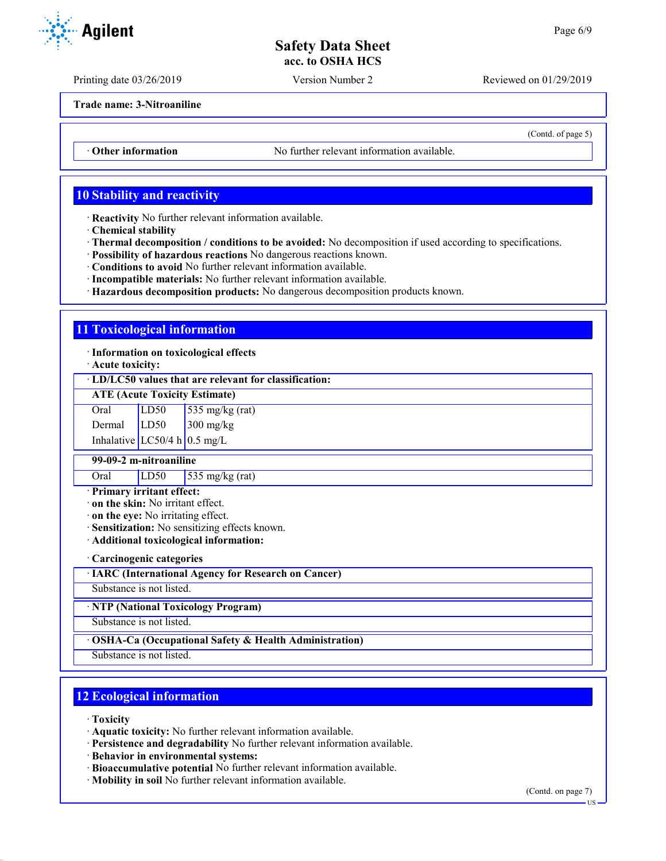Printing date 03/26/2019 Version Number 2 Reviewed on 01/29/2019

**Trade name: 3-Nitroaniline**

• **Other information** No further relevant information available.

## **10 Stability and reactivity**

· **Reactivity** No further relevant information available.

- · **Chemical stability**
- · **Thermal decomposition / conditions to be avoided:** No decomposition if used according to specifications.
- · **Possibility of hazardous reactions** No dangerous reactions known.
- · **Conditions to avoid** No further relevant information available.
- · **Incompatible materials:** No further relevant information available.
- · **Hazardous decomposition products:** No dangerous decomposition products known.

#### **11 Toxicological information**

· **Information on toxicological effects**

· **Acute toxicity:**

· **LD/LC50 values that are relevant for classification:**

**ATE (Acute Toxicity Estimate)**

Oral  $LD50$  535 mg/kg (rat) Dermal LD50 300 mg/kg Inhalative  $LC50/4$  h 0.5 mg/L

**99-09-2 m-nitroaniline**

Oral LD50 535 mg/kg (rat)

#### · **Primary irritant effect:**

· **on the skin:** No irritant effect.

· **on the eye:** No irritating effect.

- · **Sensitization:** No sensitizing effects known.
- · **Additional toxicological information:**

· **Carcinogenic categories**

· **IARC (International Agency for Research on Cancer)**

Substance is not listed.

· **NTP (National Toxicology Program)**

Substance is not listed.

#### · **OSHA-Ca (Occupational Safety & Health Administration)**

Substance is not listed.

## **12 Ecological information**

· **Toxicity**

· **Aquatic toxicity:** No further relevant information available.

· **Persistence and degradability** No further relevant information available.

· **Behavior in environmental systems:**

- · **Bioaccumulative potential** No further relevant information available.
- · **Mobility in soil** No further relevant information available.

(Contd. on page 7)

US



(Contd. of page 5)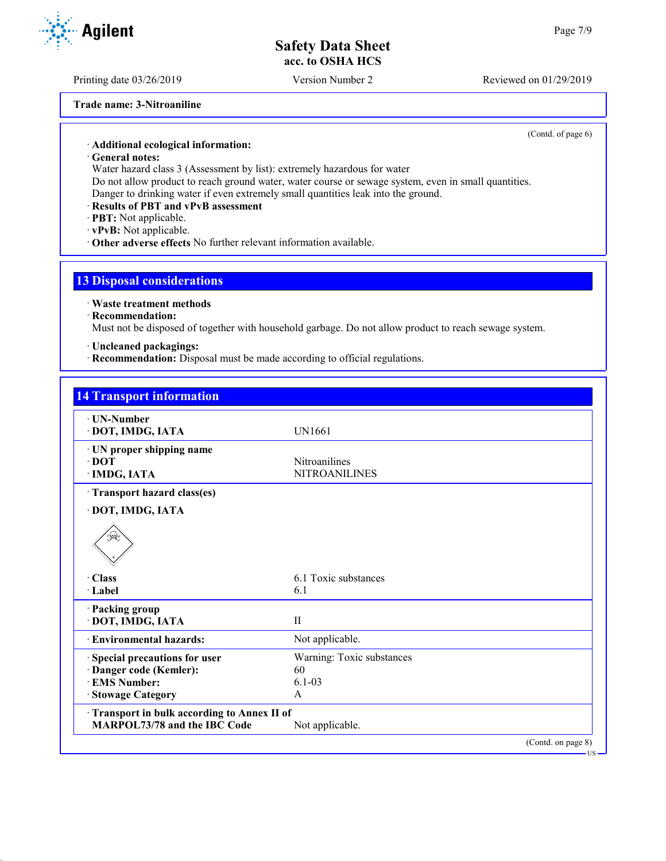Printing date 03/26/2019 Version Number 2 Reviewed on 01/29/2019

**Trade name: 3-Nitroaniline**

(Contd. of page 6)

```
· Additional ecological information:
```
· **General notes:**

Water hazard class 3 (Assessment by list): extremely hazardous for water

Do not allow product to reach ground water, water course or sewage system, even in small quantities. Danger to drinking water if even extremely small quantities leak into the ground.

- · **Results of PBT and vPvB assessment**
- · **PBT:** Not applicable.
- · **vPvB:** Not applicable.
- · **Other adverse effects** No further relevant information available.

### **13 Disposal considerations**

· **Waste treatment methods**

· **Recommendation:**

Must not be disposed of together with household garbage. Do not allow product to reach sewage system.

· **Uncleaned packagings:**

· **Recommendation:** Disposal must be made according to official regulations.

| · UN-Number                                |                           |  |
|--------------------------------------------|---------------------------|--|
| · DOT, IMDG, IATA                          | <b>UN1661</b>             |  |
| · UN proper shipping name                  |                           |  |
| $\cdot$ DOT                                | <b>Nitroanilines</b>      |  |
| · IMDG, IATA                               | <b>NITROANILINES</b>      |  |
| Transport hazard class(es)                 |                           |  |
| · DOT, IMDG, IATA                          |                           |  |
| ु⊉                                         |                           |  |
| $\cdot$ Class                              | 6.1 Toxic substances      |  |
| · Label                                    | 6.1                       |  |
| · Packing group                            |                           |  |
| · DOT, IMDG, IATA                          | $\mathbf{I}$              |  |
| <b>Environmental hazards:</b>              | Not applicable.           |  |
| Special precautions for user               | Warning: Toxic substances |  |
| · Danger code (Kemler):                    | 60                        |  |
| <b>EMS Number:</b>                         | $6.1 - 03$                |  |
| <b>Stowage Category</b>                    | A                         |  |
| Transport in bulk according to Annex II of |                           |  |
| <b>MARPOL73/78 and the IBC Code</b>        | Not applicable.           |  |

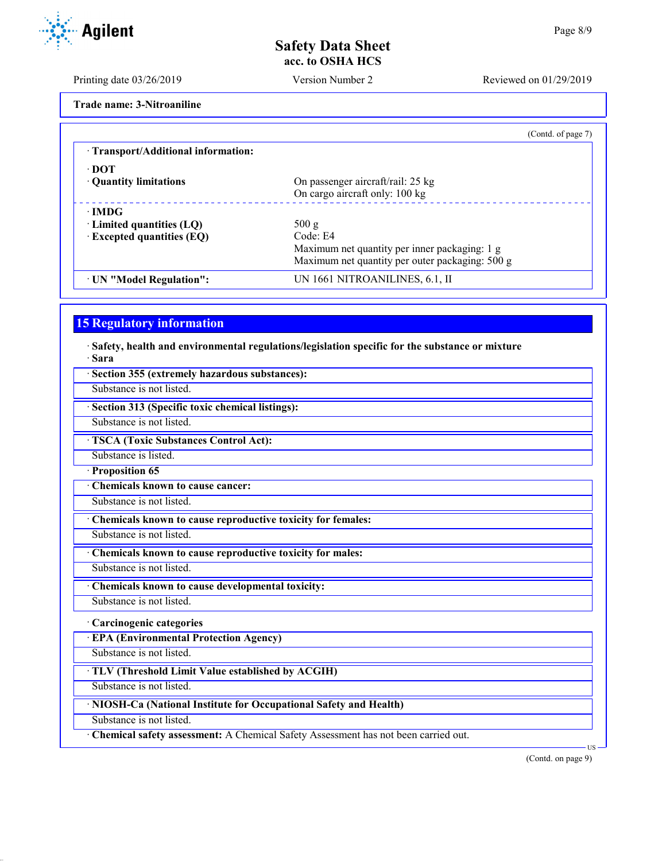Printing date 03/26/2019 Version Number 2 Reviewed on 01/29/2019

**Trade name: 3-Nitroaniline**

| (Contd. of page 7)                              |
|-------------------------------------------------|
|                                                 |
|                                                 |
| On passenger aircraft/rail: 25 kg               |
| On cargo aircraft only: 100 kg                  |
|                                                 |
| 500 g                                           |
| Code: E4                                        |
| Maximum net quantity per inner packaging: 1 g   |
| Maximum net quantity per outer packaging: 500 g |
| UN 1661 NITROANILINES, 6.1, II                  |
|                                                 |

## **15 Regulatory information**

· **Safety, health and environmental regulations/legislation specific for the substance or mixture** · **Sara**

| · Section 355 (extremely hazardous substances):                                      |                              |
|--------------------------------------------------------------------------------------|------------------------------|
| Substance is not listed.                                                             |                              |
| Section 313 (Specific toxic chemical listings):                                      |                              |
| Substance is not listed.                                                             |                              |
| <b>TSCA (Toxic Substances Control Act):</b>                                          |                              |
| Substance is listed.                                                                 |                              |
| · Proposition 65                                                                     |                              |
| Chemicals known to cause cancer:                                                     |                              |
| Substance is not listed.                                                             |                              |
| Chemicals known to cause reproductive toxicity for females:                          |                              |
| Substance is not listed.                                                             |                              |
| Chemicals known to cause reproductive toxicity for males:                            |                              |
| Substance is not listed.                                                             |                              |
| Chemicals known to cause developmental toxicity:                                     |                              |
| Substance is not listed.                                                             |                              |
| · Carcinogenic categories                                                            |                              |
| <b>EPA (Environmental Protection Agency)</b>                                         |                              |
| Substance is not listed.                                                             |                              |
| · TLV (Threshold Limit Value established by ACGIH)                                   |                              |
| Substance is not listed.                                                             |                              |
| · NIOSH-Ca (National Institute for Occupational Safety and Health)                   |                              |
| Substance is not listed.                                                             |                              |
| · Chemical safety assessment: A Chemical Safety Assessment has not been carried out. |                              |
|                                                                                      | $US -$<br>(Contd. on page 9) |